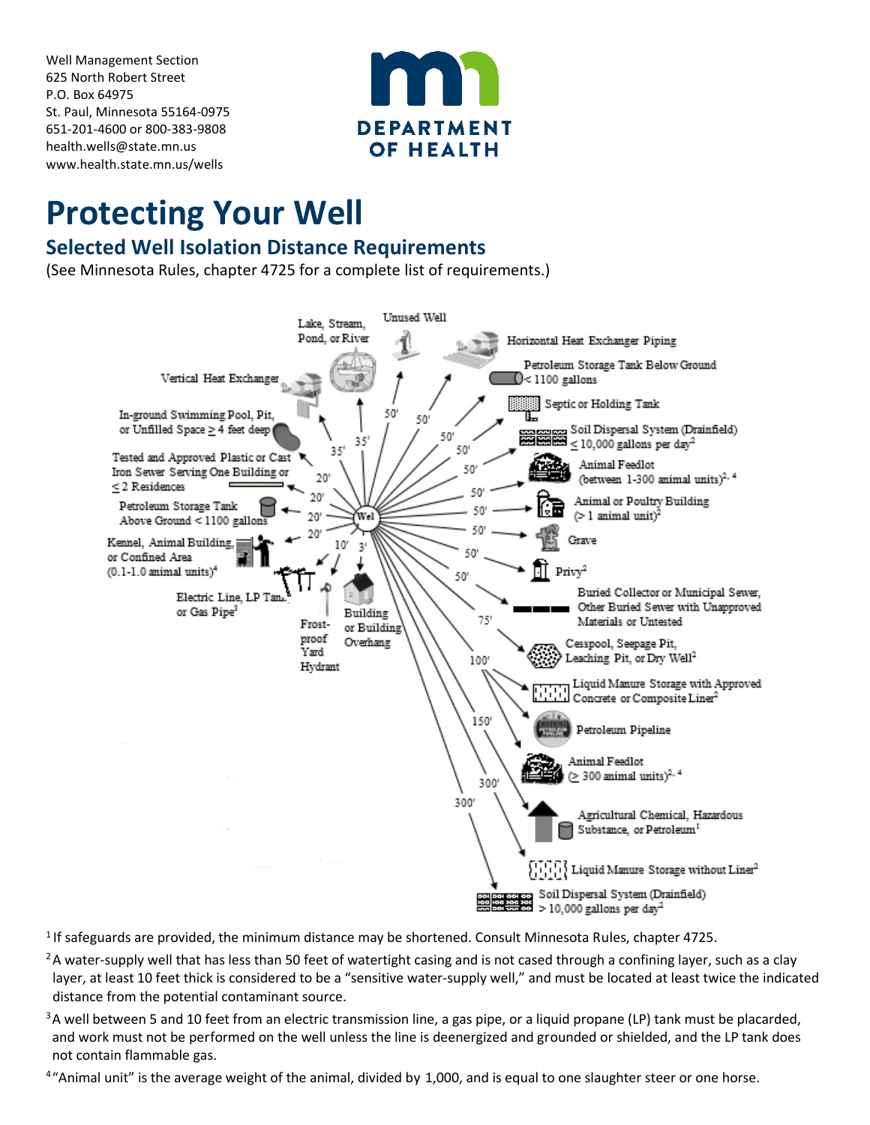Well Management Section 625 North Robert Street P.O. Box 64975 St. Paul, Minnesota 55164-0975 651-201-4600 or 800-383-9808 [health.wells@state.mn.us](mailto:health.wells@state.mn.us) [www.health.state.mn.us/wells](http://www.health.state.mn.us/wells)



## **Protecting Your Well**

## **Selected Well Isolation Distance Requirements**

(See Minnesota Rules, chapter 4725 for a complete list of requirements.)



<sup>1</sup> If safeguards are provided, the minimum distance may be shortened. Consult Minnesota Rules, chapter 4725.

- <sup>2</sup>A water-supply well that has less than 50 feet of watertight casing and is not cased through a confining layer, such as a clay layer, at least 10 feet thick is considered to be a "sensitive water-supply well," and must be located at least twice the indicated distance from the potential contaminant source.
- <sup>3</sup>A well between 5 and 10 feet from an electric transmission line, a gas pipe, or a liquid propane (LP) tank must be placarded, and work must not be performed on the well unless the line is deenergized and grounded or shielded, and the LP tank does not contain flammable gas.
- <sup>4</sup>"Animal unit" is the average weight of the animal, divided by 1,000, and is equal to one slaughter steer or one horse.